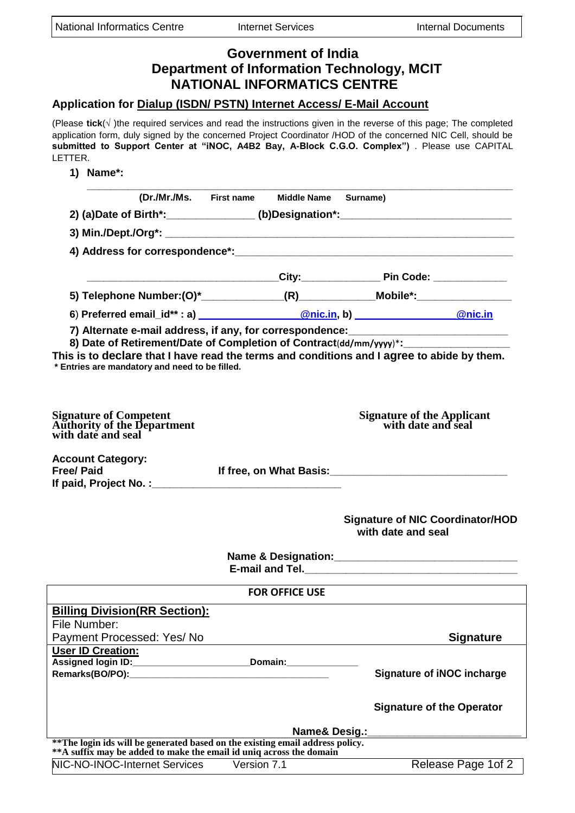| <b>Government of India</b><br><b>Department of Information Technology, MCIT</b><br><b>NATIONAL INFORMATICS CENTRE</b>                                  |                                              |                                                                                                                                                                                                                                                                                                                                           |
|--------------------------------------------------------------------------------------------------------------------------------------------------------|----------------------------------------------|-------------------------------------------------------------------------------------------------------------------------------------------------------------------------------------------------------------------------------------------------------------------------------------------------------------------------------------------|
| Application for Dialup (ISDN/ PSTN) Internet Access/ E-Mail Account                                                                                    |                                              |                                                                                                                                                                                                                                                                                                                                           |
| LETTER.                                                                                                                                                |                                              | (Please tick( $\sqrt$ ) the required services and read the instructions given in the reverse of this page; The completed<br>application form, duly signed by the concerned Project Coordinator /HOD of the concerned NIC Cell, should be<br>submitted to Support Center at "iNOC, A4B2 Bay, A-Block C.G.O. Complex") . Please use CAPITAL |
| 1) Name*:                                                                                                                                              |                                              |                                                                                                                                                                                                                                                                                                                                           |
|                                                                                                                                                        | (Dr./Mr./Ms. First name Middle Name Surname) |                                                                                                                                                                                                                                                                                                                                           |
|                                                                                                                                                        |                                              | 2) (a)Date of Birth*:_______________(b)Designation*:____________________________                                                                                                                                                                                                                                                          |
|                                                                                                                                                        |                                              |                                                                                                                                                                                                                                                                                                                                           |
|                                                                                                                                                        |                                              |                                                                                                                                                                                                                                                                                                                                           |
|                                                                                                                                                        |                                              |                                                                                                                                                                                                                                                                                                                                           |
|                                                                                                                                                        |                                              | 5) Telephone Number:(0)*______________(R)_____________Mobile*:__________________                                                                                                                                                                                                                                                          |
|                                                                                                                                                        |                                              |                                                                                                                                                                                                                                                                                                                                           |
|                                                                                                                                                        |                                              | 7) Alternate e-mail address, if any, for correspondence: [11] Alternate e-mail control of the system of the system of the system of the system of the system of the system of the system of the system of the system of the sy                                                                                                            |
| * Entries are mandatory and need to be filled.                                                                                                         |                                              | 8) Date of Retirement/Date of Completion of Contract(dd/mm/yyyy)*:______________<br>This is to declare that I have read the terms and conditions and I agree to abide by them.                                                                                                                                                            |
|                                                                                                                                                        |                                              |                                                                                                                                                                                                                                                                                                                                           |
| <b>Signature of Competent<br/>Authority of the Department<br/>with date and seal</b>                                                                   |                                              | <b>Signature of the Applicant<br/>with date and seal</b>                                                                                                                                                                                                                                                                                  |
| <b>Account Category:</b><br><b>Free/ Paid</b>                                                                                                          | If free, on What Basis:                      |                                                                                                                                                                                                                                                                                                                                           |
|                                                                                                                                                        |                                              |                                                                                                                                                                                                                                                                                                                                           |
|                                                                                                                                                        |                                              | <b>Signature of NIC Coordinator/HOD</b><br>with date and seal                                                                                                                                                                                                                                                                             |
|                                                                                                                                                        |                                              |                                                                                                                                                                                                                                                                                                                                           |
|                                                                                                                                                        |                                              |                                                                                                                                                                                                                                                                                                                                           |
|                                                                                                                                                        | <b>FOR OFFICE USE</b>                        |                                                                                                                                                                                                                                                                                                                                           |
| <b>Billing Division(RR Section):</b>                                                                                                                   |                                              |                                                                                                                                                                                                                                                                                                                                           |
| File Number:                                                                                                                                           |                                              |                                                                                                                                                                                                                                                                                                                                           |
| Payment Processed: Yes/ No                                                                                                                             |                                              | <b>Signature</b>                                                                                                                                                                                                                                                                                                                          |
| <b>User ID Creation:</b><br>Assigned login ID: _________________________________Domain: ____________________                                           |                                              |                                                                                                                                                                                                                                                                                                                                           |
|                                                                                                                                                        |                                              | <b>Signature of iNOC incharge</b>                                                                                                                                                                                                                                                                                                         |
|                                                                                                                                                        |                                              | <b>Signature of the Operator</b>                                                                                                                                                                                                                                                                                                          |
|                                                                                                                                                        |                                              |                                                                                                                                                                                                                                                                                                                                           |
| ** The login ids will be generated based on the existing email address policy.<br>** A suffix may be added to make the email id uniq across the domain |                                              |                                                                                                                                                                                                                                                                                                                                           |